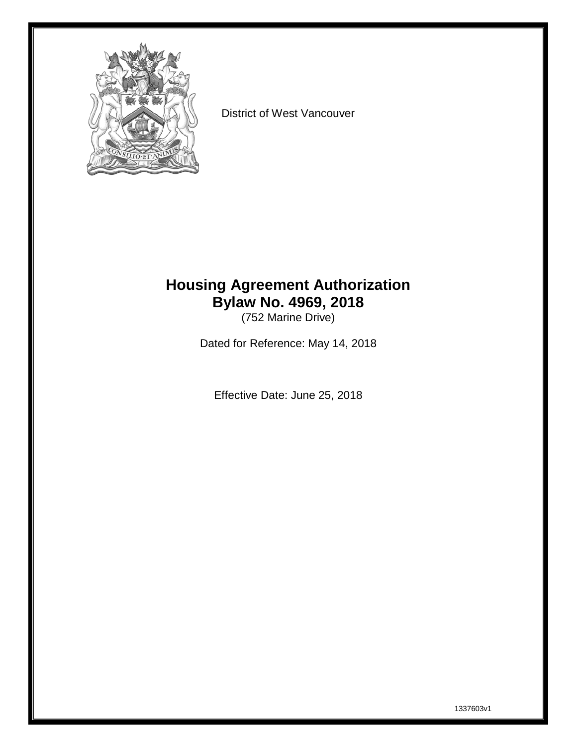

District of West Vancouver

# **Housing Agreement Authorization Bylaw No. 4969, 2018**

(752 Marine Drive)

Dated for Reference: May 14, 2018

Effective Date: June 25, 2018

1337603v1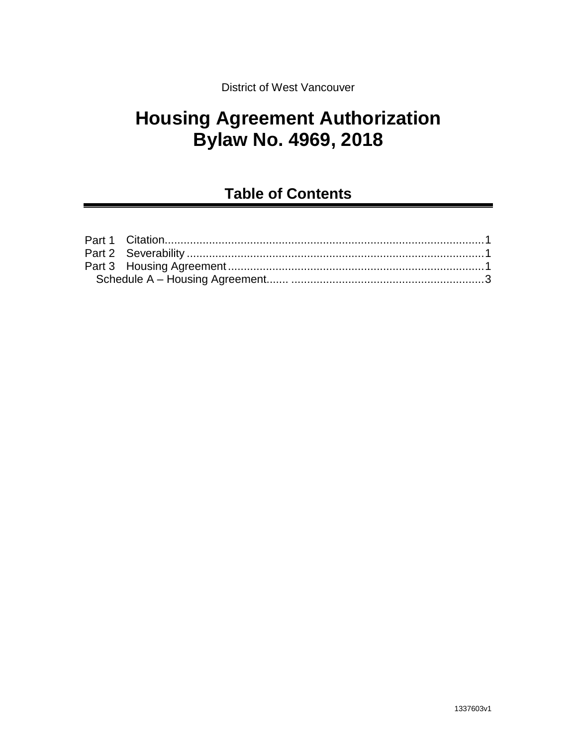### District of West Vancouver

# **Housing Agreement Authorization Bylaw No. 4969, 2018**

# **Table of Contents**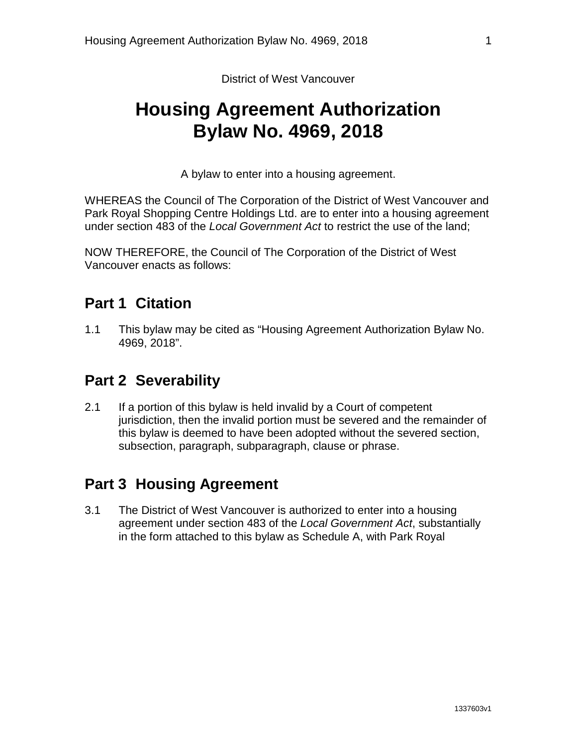District of West Vancouver

# **Housing Agreement Authorization Bylaw No. 4969, 2018**

A bylaw to enter into a housing agreement.

WHEREAS the Council of The Corporation of the District of West Vancouver and Park Royal Shopping Centre Holdings Ltd. are to enter into a housing agreement under section 483 of the *Local Government Act* to restrict the use of the land;

NOW THEREFORE, the Council of The Corporation of the District of West Vancouver enacts as follows:

## <span id="page-2-0"></span>**Part 1 Citation**

1.1 This bylaw may be cited as "Housing Agreement Authorization Bylaw No. 4969, 2018".

# <span id="page-2-1"></span>**Part 2 Severability**

2.1 If a portion of this bylaw is held invalid by a Court of competent jurisdiction, then the invalid portion must be severed and the remainder of this bylaw is deemed to have been adopted without the severed section, subsection, paragraph, subparagraph, clause or phrase.

# <span id="page-2-2"></span>**Part 3 Housing Agreement**

3.1 The District of West Vancouver is authorized to enter into a housing agreement under section 483 of the *Local Government Act*, substantially in the form attached to this bylaw as Schedule A, with Park Royal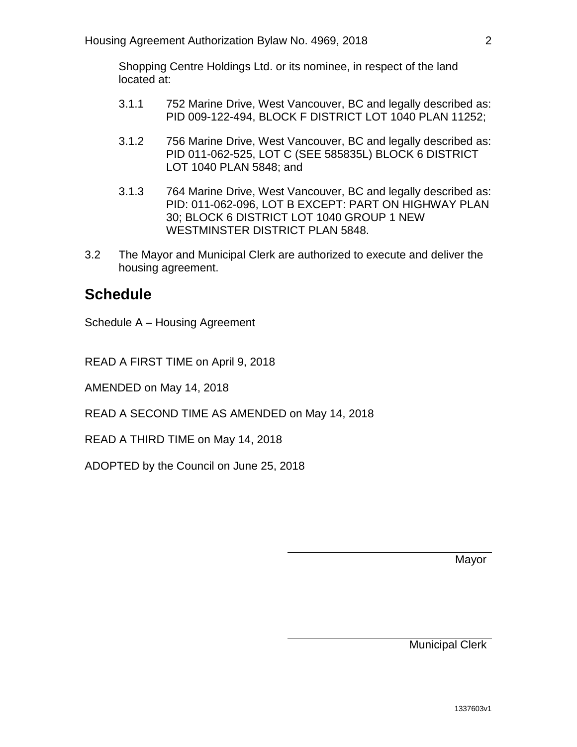Shopping Centre Holdings Ltd. or its nominee, in respect of the land located at:

- 3.1.1 752 Marine Drive, West Vancouver, BC and legally described as: PID 009-122-494, BLOCK F DISTRICT LOT 1040 PLAN 11252;
- 3.1.2 756 Marine Drive, West Vancouver, BC and legally described as: PID 011-062-525, LOT C (SEE 585835L) BLOCK 6 DISTRICT LOT 1040 PLAN 5848; and
- 3.1.3 764 Marine Drive, West Vancouver, BC and legally described as: PID: 011-062-096, LOT B EXCEPT: PART ON HIGHWAY PLAN 30; BLOCK 6 DISTRICT LOT 1040 GROUP 1 NEW WESTMINSTER DISTRICT PLAN 5848.
- 3.2 The Mayor and Municipal Clerk are authorized to execute and deliver the housing agreement.

## **Schedule**

Schedule A – Housing Agreement

READ A FIRST TIME on April 9, 2018

AMENDED on May 14, 2018

READ A SECOND TIME AS AMENDED on May 14, 2018

READ A THIRD TIME on May 14, 2018

ADOPTED by the Council on June 25, 2018

Mayor

Municipal Clerk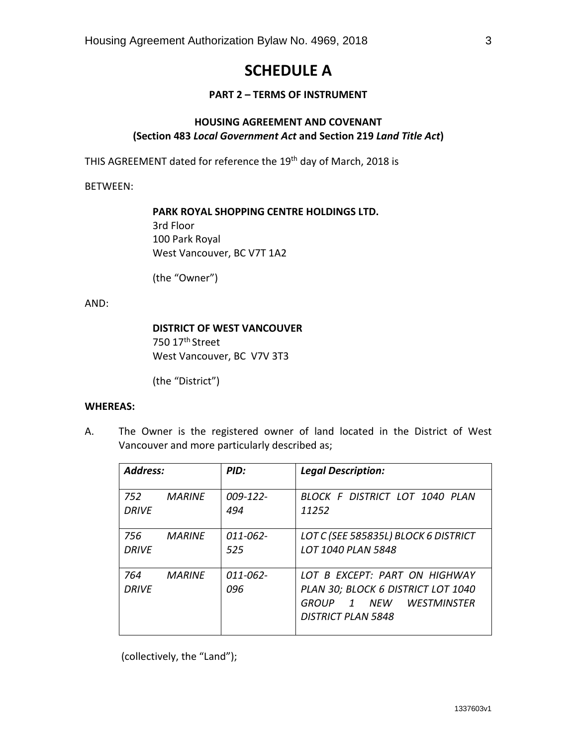# **SCHEDULE A**

#### **PART 2 – TERMS OF INSTRUMENT**

### **HOUSING AGREEMENT AND COVENANT (Section 483** *Local Government Act* **and Section 219** *Land Title Act***)**

THIS AGREEMENT dated for reference the 19<sup>th</sup> day of March, 2018 is

BETWEEN:

**PARK ROYAL SHOPPING CENTRE HOLDINGS LTD.** 3rd Floor 100 Park Royal West Vancouver, BC V7T 1A2

(the "Owner")

AND:

#### **DISTRICT OF WEST VANCOUVER**

750 17<sup>th</sup> Street West Vancouver, BC V7V 3T3

(the "District")

#### **WHEREAS:**

A. The Owner is the registered owner of land located in the District of West Vancouver and more particularly described as;

| <b>Address:</b>     |               | PID:                 | <b>Legal Description:</b>                                                                                                             |
|---------------------|---------------|----------------------|---------------------------------------------------------------------------------------------------------------------------------------|
| 752                 | <b>MARINF</b> | $009 - 122 -$        | BLOCK F DISTRICT LOT 1040 PLAN                                                                                                        |
| <b>DRIVF</b>        |               | 494                  | 11252                                                                                                                                 |
| 756                 | <b>MARINF</b> | 011-062-             | LOT C (SEE 585835L) BLOCK 6 DISTRICT                                                                                                  |
| DRIVF               |               | 525                  | LOT 1040 PLAN 5848                                                                                                                    |
| 764<br><b>DRIVF</b> | MARINF        | $011 - 062 -$<br>096 | LOT B FXCFPT: PART ON HIGHWAY<br>PLAN 30; BLOCK 6 DISTRICT LOT 1040<br>1 NFW WFSTMINSTFR<br><b>GROUP</b><br><b>DISTRICT PLAN 5848</b> |

(collectively, the "Land");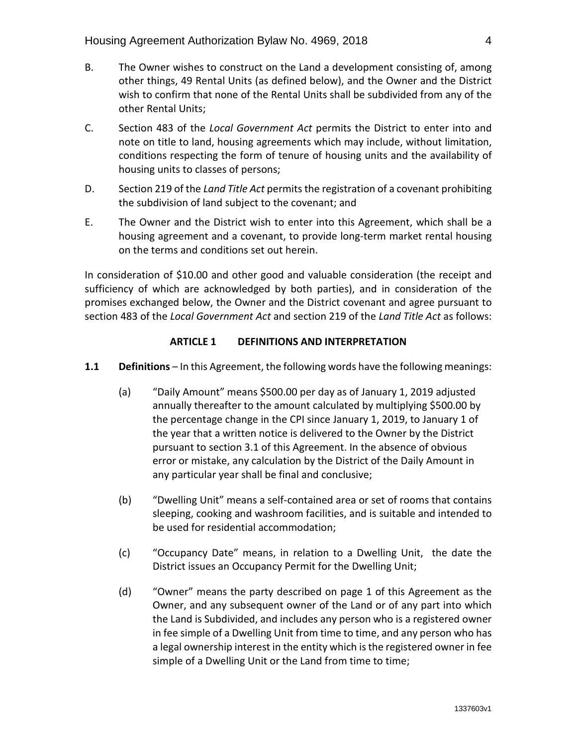- B. The Owner wishes to construct on the Land a development consisting of, among other things, 49 Rental Units (as defined below), and the Owner and the District wish to confirm that none of the Rental Units shall be subdivided from any of the other Rental Units;
- C. Section 483 of the *Local Government Act* permits the District to enter into and note on title to land, housing agreements which may include, without limitation, conditions respecting the form of tenure of housing units and the availability of housing units to classes of persons;
- D. Section 219 of the *Land Title Act* permits the registration of a covenant prohibiting the subdivision of land subject to the covenant; and
- E. The Owner and the District wish to enter into this Agreement, which shall be a housing agreement and a covenant, to provide long-term market rental housing on the terms and conditions set out herein.

In consideration of \$10.00 and other good and valuable consideration (the receipt and sufficiency of which are acknowledged by both parties), and in consideration of the promises exchanged below, the Owner and the District covenant and agree pursuant to section 483 of the *Local Government Act* and section 219 of the *Land Title Act* as follows:

### **ARTICLE 1 DEFINITIONS AND INTERPRETATION**

#### **1.1 Definitions** – In this Agreement, the following words have the following meanings:

- (a) "Daily Amount" means \$500.00 per day as of January 1, 2019 adjusted annually thereafter to the amount calculated by multiplying \$500.00 by the percentage change in the CPI since January 1, 2019, to January 1 of the year that a written notice is delivered to the Owner by the District pursuant to section 3.1 of this Agreement. In the absence of obvious error or mistake, any calculation by the District of the Daily Amount in any particular year shall be final and conclusive;
- (b) "Dwelling Unit" means a self-contained area or set of rooms that contains sleeping, cooking and washroom facilities, and is suitable and intended to be used for residential accommodation;
- (c) "Occupancy Date" means, in relation to a Dwelling Unit, the date the District issues an Occupancy Permit for the Dwelling Unit;
- (d) "Owner" means the party described on page 1 of this Agreement as the Owner, and any subsequent owner of the Land or of any part into which the Land is Subdivided, and includes any person who is a registered owner in fee simple of a Dwelling Unit from time to time, and any person who has a legal ownership interest in the entity which is the registered owner in fee simple of a Dwelling Unit or the Land from time to time;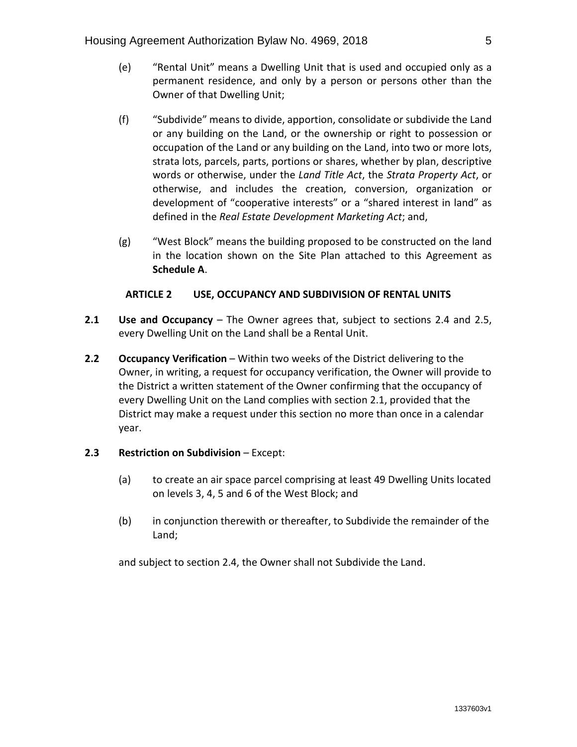- (e) "Rental Unit" means a Dwelling Unit that is used and occupied only as a permanent residence, and only by a person or persons other than the Owner of that Dwelling Unit;
- (f) "Subdivide" means to divide, apportion, consolidate or subdivide the Land or any building on the Land, or the ownership or right to possession or occupation of the Land or any building on the Land, into two or more lots, strata lots, parcels, parts, portions or shares, whether by plan, descriptive words or otherwise, under the *Land Title Act*, the *Strata Property Act*, or otherwise, and includes the creation, conversion, organization or development of "cooperative interests" or a "shared interest in land" as defined in the *Real Estate Development Marketing Act*; and,
- (g) "West Block" means the building proposed to be constructed on the land in the location shown on the Site Plan attached to this Agreement as **Schedule A**.

#### **ARTICLE 2 USE, OCCUPANCY AND SUBDIVISION OF RENTAL UNITS**

- **2.1 Use and Occupancy**  The Owner agrees that, subject to sections 2.4 and 2.5, every Dwelling Unit on the Land shall be a Rental Unit.
- **2.2 Occupancy Verification** Within two weeks of the District delivering to the Owner, in writing, a request for occupancy verification, the Owner will provide to the District a written statement of the Owner confirming that the occupancy of every Dwelling Unit on the Land complies with section 2.1, provided that the District may make a request under this section no more than once in a calendar year.
- **2.3 Restriction on Subdivision** Except:
	- (a) to create an air space parcel comprising at least 49 Dwelling Units located on levels 3, 4, 5 and 6 of the West Block; and
	- (b) in conjunction therewith or thereafter, to Subdivide the remainder of the Land;

and subject to section 2.4, the Owner shall not Subdivide the Land.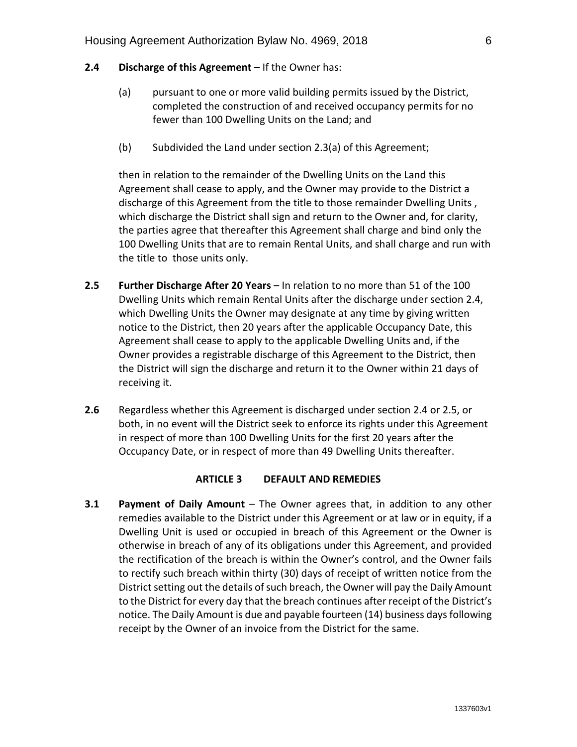#### **2.4 Discharge of this Agreement** – If the Owner has:

- (a) pursuant to one or more valid building permits issued by the District, completed the construction of and received occupancy permits for no fewer than 100 Dwelling Units on the Land; and
- (b) Subdivided the Land under section 2.3(a) of this Agreement;

then in relation to the remainder of the Dwelling Units on the Land this Agreement shall cease to apply, and the Owner may provide to the District a discharge of this Agreement from the title to those remainder Dwelling Units , which discharge the District shall sign and return to the Owner and, for clarity, the parties agree that thereafter this Agreement shall charge and bind only the 100 Dwelling Units that are to remain Rental Units, and shall charge and run with the title to those units only.

- **2.5 Further Discharge After 20 Years** In relation to no more than 51 of the 100 Dwelling Units which remain Rental Units after the discharge under section 2.4, which Dwelling Units the Owner may designate at any time by giving written notice to the District, then 20 years after the applicable Occupancy Date, this Agreement shall cease to apply to the applicable Dwelling Units and, if the Owner provides a registrable discharge of this Agreement to the District, then the District will sign the discharge and return it to the Owner within 21 days of receiving it.
- **2.6** Regardless whether this Agreement is discharged under section 2.4 or 2.5, or both, in no event will the District seek to enforce its rights under this Agreement in respect of more than 100 Dwelling Units for the first 20 years after the Occupancy Date, or in respect of more than 49 Dwelling Units thereafter.

#### **ARTICLE 3 DEFAULT AND REMEDIES**

**3.1 Payment of Daily Amount** – The Owner agrees that, in addition to any other remedies available to the District under this Agreement or at law or in equity, if a Dwelling Unit is used or occupied in breach of this Agreement or the Owner is otherwise in breach of any of its obligations under this Agreement, and provided the rectification of the breach is within the Owner's control, and the Owner fails to rectify such breach within thirty (30) days of receipt of written notice from the District setting out the details of such breach, the Owner will pay the Daily Amount to the District for every day that the breach continues after receipt of the District's notice. The Daily Amount is due and payable fourteen (14) business days following receipt by the Owner of an invoice from the District for the same.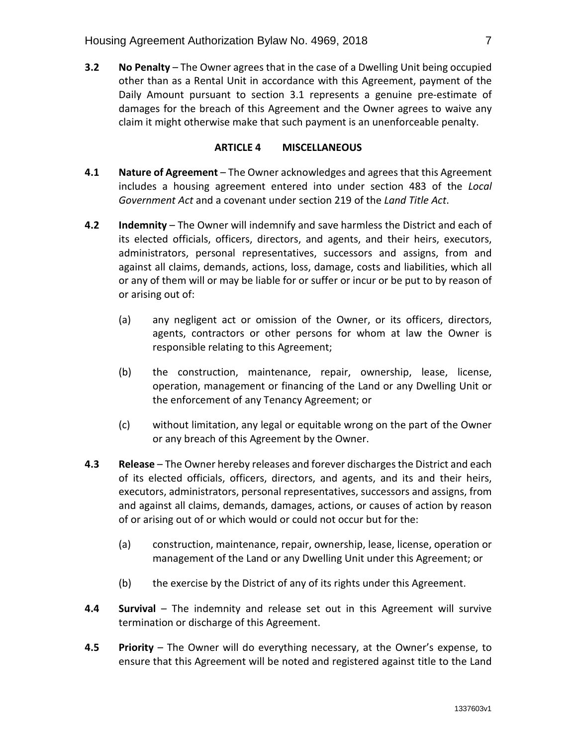**3.2 No Penalty** – The Owner agrees that in the case of a Dwelling Unit being occupied other than as a Rental Unit in accordance with this Agreement, payment of the Daily Amount pursuant to section 3.1 represents a genuine pre-estimate of damages for the breach of this Agreement and the Owner agrees to waive any claim it might otherwise make that such payment is an unenforceable penalty.

#### **ARTICLE 4 MISCELLANEOUS**

- **4.1 Nature of Agreement**  The Owner acknowledges and agrees that this Agreement includes a housing agreement entered into under section 483 of the *Local Government Act* and a covenant under section 219 of the *Land Title Act*.
- **4.2 Indemnity**  The Owner will indemnify and save harmless the District and each of its elected officials, officers, directors, and agents, and their heirs, executors, administrators, personal representatives, successors and assigns, from and against all claims, demands, actions, loss, damage, costs and liabilities, which all or any of them will or may be liable for or suffer or incur or be put to by reason of or arising out of:
	- (a) any negligent act or omission of the Owner, or its officers, directors, agents, contractors or other persons for whom at law the Owner is responsible relating to this Agreement;
	- (b) the construction, maintenance, repair, ownership, lease, license, operation, management or financing of the Land or any Dwelling Unit or the enforcement of any Tenancy Agreement; or
	- (c) without limitation, any legal or equitable wrong on the part of the Owner or any breach of this Agreement by the Owner.
- **4.3 Release**  The Owner hereby releases and forever discharges the District and each of its elected officials, officers, directors, and agents, and its and their heirs, executors, administrators, personal representatives, successors and assigns, from and against all claims, demands, damages, actions, or causes of action by reason of or arising out of or which would or could not occur but for the:
	- (a) construction, maintenance, repair, ownership, lease, license, operation or management of the Land or any Dwelling Unit under this Agreement; or
	- (b) the exercise by the District of any of its rights under this Agreement.
- **4.4 Survival** The indemnity and release set out in this Agreement will survive termination or discharge of this Agreement.
- **4.5 Priority** The Owner will do everything necessary, at the Owner's expense, to ensure that this Agreement will be noted and registered against title to the Land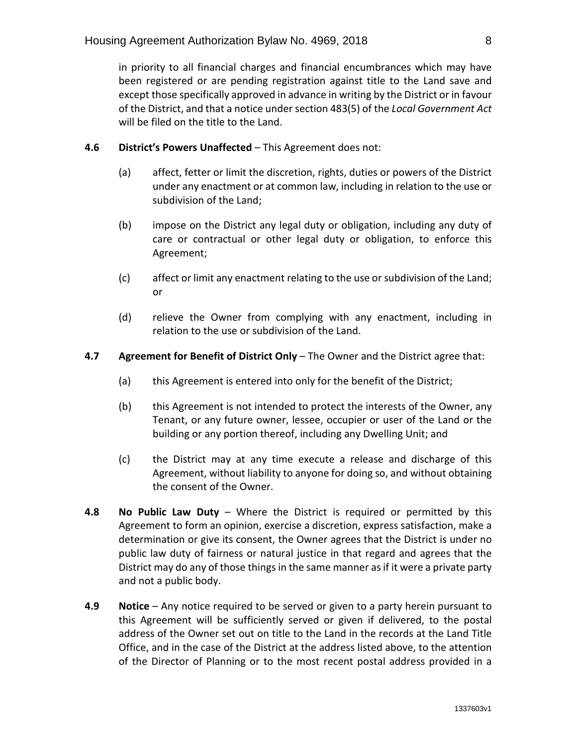in priority to all financial charges and financial encumbrances which may have been registered or are pending registration against title to the Land save and except those specifically approved in advance in writing by the District or in favour of the District, and that a notice under section 483(5) of the *Local Government Act* will be filed on the title to the Land.

### **4.6 District's Powers Unaffected** – This Agreement does not:

- (a) affect, fetter or limit the discretion, rights, duties or powers of the District under any enactment or at common law, including in relation to the use or subdivision of the Land;
- (b) impose on the District any legal duty or obligation, including any duty of care or contractual or other legal duty or obligation, to enforce this Agreement;
- (c) affect or limit any enactment relating to the use or subdivision of the Land; or
- (d) relieve the Owner from complying with any enactment, including in relation to the use or subdivision of the Land.

### **4.7 Agreement for Benefit of District Only** – The Owner and the District agree that:

- (a) this Agreement is entered into only for the benefit of the District;
- (b) this Agreement is not intended to protect the interests of the Owner, any Tenant, or any future owner, lessee, occupier or user of the Land or the building or any portion thereof, including any Dwelling Unit; and
- (c) the District may at any time execute a release and discharge of this Agreement, without liability to anyone for doing so, and without obtaining the consent of the Owner.
- **4.8 No Public Law Duty**  Where the District is required or permitted by this Agreement to form an opinion, exercise a discretion, express satisfaction, make a determination or give its consent, the Owner agrees that the District is under no public law duty of fairness or natural justice in that regard and agrees that the District may do any of those things in the same manner as if it were a private party and not a public body.
- **4.9 Notice**  Any notice required to be served or given to a party herein pursuant to this Agreement will be sufficiently served or given if delivered, to the postal address of the Owner set out on title to the Land in the records at the Land Title Office, and in the case of the District at the address listed above, to the attention of the Director of Planning or to the most recent postal address provided in a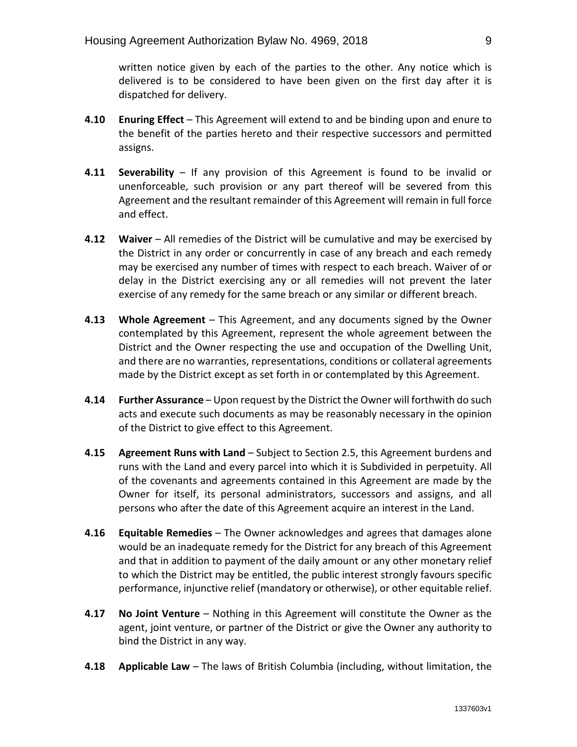written notice given by each of the parties to the other. Any notice which is delivered is to be considered to have been given on the first day after it is dispatched for delivery.

- **4.10 Enuring Effect**  This Agreement will extend to and be binding upon and enure to the benefit of the parties hereto and their respective successors and permitted assigns.
- **4.11 Severability** If any provision of this Agreement is found to be invalid or unenforceable, such provision or any part thereof will be severed from this Agreement and the resultant remainder of this Agreement will remain in full force and effect.
- **4.12 Waiver** All remedies of the District will be cumulative and may be exercised by the District in any order or concurrently in case of any breach and each remedy may be exercised any number of times with respect to each breach. Waiver of or delay in the District exercising any or all remedies will not prevent the later exercise of any remedy for the same breach or any similar or different breach.
- **4.13 Whole Agreement** This Agreement, and any documents signed by the Owner contemplated by this Agreement, represent the whole agreement between the District and the Owner respecting the use and occupation of the Dwelling Unit, and there are no warranties, representations, conditions or collateral agreements made by the District except as set forth in or contemplated by this Agreement.
- **4.14 Further Assurance** Upon request by the District the Owner will forthwith do such acts and execute such documents as may be reasonably necessary in the opinion of the District to give effect to this Agreement.
- **4.15 Agreement Runs with Land**  Subject to Section 2.5, this Agreement burdens and runs with the Land and every parcel into which it is Subdivided in perpetuity. All of the covenants and agreements contained in this Agreement are made by the Owner for itself, its personal administrators, successors and assigns, and all persons who after the date of this Agreement acquire an interest in the Land.
- **4.16 Equitable Remedies** The Owner acknowledges and agrees that damages alone would be an inadequate remedy for the District for any breach of this Agreement and that in addition to payment of the daily amount or any other monetary relief to which the District may be entitled, the public interest strongly favours specific performance, injunctive relief (mandatory or otherwise), or other equitable relief.
- **4.17 No Joint Venture** Nothing in this Agreement will constitute the Owner as the agent, joint venture, or partner of the District or give the Owner any authority to bind the District in any way.
- **4.18 Applicable Law** The laws of British Columbia (including, without limitation, the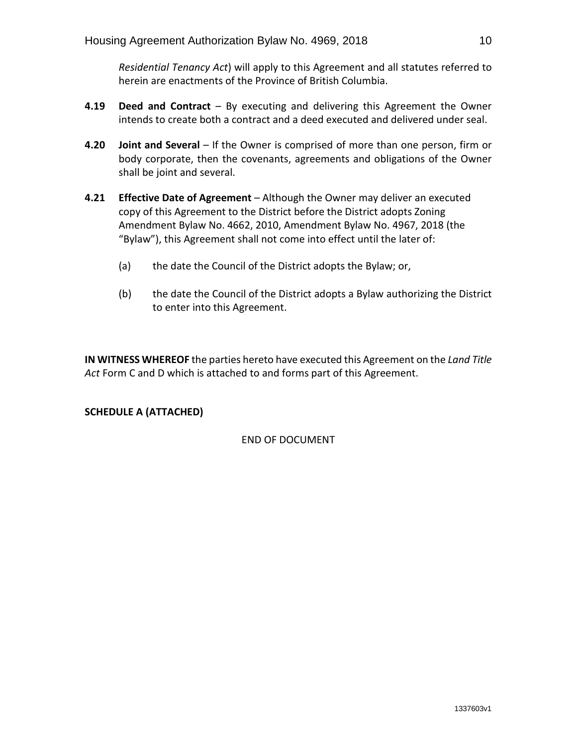*Residential Tenancy Act*) will apply to this Agreement and all statutes referred to herein are enactments of the Province of British Columbia.

- **4.19 Deed and Contract**  By executing and delivering this Agreement the Owner intends to create both a contract and a deed executed and delivered under seal.
- **4.20 Joint and Several** If the Owner is comprised of more than one person, firm or body corporate, then the covenants, agreements and obligations of the Owner shall be joint and several.
- **4.21 Effective Date of Agreement** Although the Owner may deliver an executed copy of this Agreement to the District before the District adopts Zoning Amendment Bylaw No. 4662, 2010, Amendment Bylaw No. 4967, 2018 (the "Bylaw"), this Agreement shall not come into effect until the later of:
	- (a) the date the Council of the District adopts the Bylaw; or,
	- (b) the date the Council of the District adopts a Bylaw authorizing the District to enter into this Agreement.

**IN WITNESS WHEREOF** the parties hereto have executed this Agreement on the *Land Title Act* Form C and D which is attached to and forms part of this Agreement.

### **SCHEDULE A (ATTACHED)**

END OF DOCUMENT